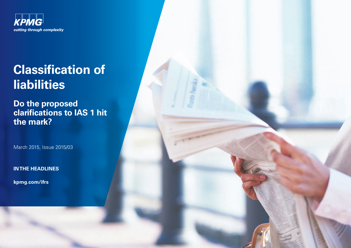

# **Classification of liabilities**

**Do the proposed clarifications to IAS 1 hit the mark?**

March 2015, Issue 2015/03

**IN THE HEADLINES**

**[kpmg.com/ifrs](www.kpmg.com/ifrs)**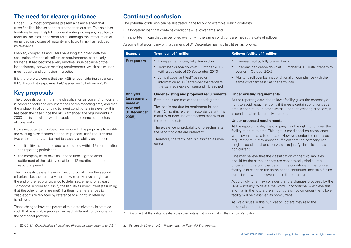### **The need for clearer guidance**

Under IFRS, most companies present a balance sheet that classifies liabilities as either current or non-current. This split has traditionally been helpful in understanding a company's ability to meet its liabilities in the short term, although the introduction of enhanced disclosure of maturity and liquidity risk has reduced its relevance.

Even so, companies and users have long struggled with the application of these classification requirements, particularly for loans. It has become a very emotive issue because of the inconsistency between existing requirements, which has caused much debate and confusion in practice.

It is therefore welcome that the IASB is reconsidering this area of IFRS, through its exposure draft<sup>1</sup> issued on 10 February 2015.

## **Key proposals**

The proposals confirm that the classification as current/non-current is based on facts and circumstances at the reporting date, and that the probability of continuing to meet conditions is irrelevant – this has been the case since the IASB amended the requirements in 2003 and is straightforward to apply to, for example, breaches of covenants.

However, potential confusion remains with the proposals to modify the existing classification criteria. At present, IFRS requires that two criteria must *both* be met to classify a liability as non-current:

- the liability must not be due to be settled within 12 months after the reporting period; and
- the company must have an unconditional right to defer settlement of the liability for at least 12 months after the reporting period.

The proposals delete the word 'unconditional' from the second criterion – i.e. the company must now merely have a 'right' at the end of the reporting period to defer settlement for at least 12 months in order to classify the liability as non-current (assuming that the other criteria are met). Furthermore, references to 'discretion' are replaced by reference to a 'right' in referring to rollover.

These changes have the potential to create diversity in practice, such that reasonable people may reach different conclusions for the same fact patterns.

1. ED/2015/1 *Classification of Liabilities (Proposed amendments to IAS 1*). 2. Paragraph 69(d) of IAS 1 *Presentation of Financial Statements*.

## **Continued confusion**

The potential confusion can be illustrated in the following example, which contrasts:

- a long-term loan that contains conditions i.e. covenants; and
- a short-term loan that can be rolled over only if the same conditions are met at the date of rollover.

Assume that a company with a year end of 31 December has two liabilities, as follows.

| <b>Example</b>                                                                              | <b>Term loan of 1 million</b>                                                                                                                                                                                                                                                                                                                                                                                         | <b>Rollover facility of 1 million</b>                                                                                                                                                                                                                                                                                                                                                                                                                                                                                                                                                                                                                                                                                                                                                                                                                                                                                                                                                                                                                                                                                                                                                                                                                                                                                                                                                  |
|---------------------------------------------------------------------------------------------|-----------------------------------------------------------------------------------------------------------------------------------------------------------------------------------------------------------------------------------------------------------------------------------------------------------------------------------------------------------------------------------------------------------------------|----------------------------------------------------------------------------------------------------------------------------------------------------------------------------------------------------------------------------------------------------------------------------------------------------------------------------------------------------------------------------------------------------------------------------------------------------------------------------------------------------------------------------------------------------------------------------------------------------------------------------------------------------------------------------------------------------------------------------------------------------------------------------------------------------------------------------------------------------------------------------------------------------------------------------------------------------------------------------------------------------------------------------------------------------------------------------------------------------------------------------------------------------------------------------------------------------------------------------------------------------------------------------------------------------------------------------------------------------------------------------------------|
| <b>Fact pattern</b>                                                                         | • Five-year term loan, fully drawn down<br>• Term loan drawn down at 1 October 20X5,<br>with a due date of 30 September 20Y0<br>• Annual covenant test* based on<br>information at 30 September that renders<br>the loan repayable on demand if breached                                                                                                                                                              | Five-year facility, fully drawn down<br>• One-year loan drawn down at 1 October 20X5, with intent to roll<br>over on 1 October 20X6<br>Ability to roll over loan is conditional on compliance with the<br>same covenant test* as the term loan                                                                                                                                                                                                                                                                                                                                                                                                                                                                                                                                                                                                                                                                                                                                                                                                                                                                                                                                                                                                                                                                                                                                         |
| <b>Analysis</b><br><i>(assessment</i><br>made at<br>year end<br><b>31 December</b><br>20X5) | Under existing and proposed requirements<br>Both criteria are met at the reporting date.<br>The loan is not due for settlement in less<br>than 12 months, either in accordance with its<br>maturity or because of breaches that exist at<br>the reporting date.<br>The existence or probability of breaches after<br>the reporting date are irrelevant.<br>Therefore, the term loan is classified as non-<br>current. | <b>Under existing requirements</b><br>At the reporting date, the rollover facility gives the company a<br>right to avoid repayment only if it meets certain conditions at a<br>date in the future. In other words, under an existing criterion <sup>2</sup> , it<br>is conditional and, arguably, current.<br><b>Under proposed requirements</b><br>At the reporting date, the company has the right to roll over the<br>facility at a future date. This right is conditional on compliance<br>with covenants at a future date. However, under the proposed<br>requirements, it may appear sufficient that the company has<br>a right - conditional or otherwise - to justify classification as<br>non-current.<br>One may believe that the classification of the two liabilities<br>should be the same, as they are economically similar: the<br>uncertain future compliance with the conditions in the rollover<br>facility is in essence the same as the continued uncertain future<br>compliance with the covenants in the term loan.<br>Accordingly, one may consider that the changes proposed by the<br>IASB – notably to delete the word 'unconditional' – achieve this,<br>and that in the future the amount drawn down under the rollover<br>facility will be classified as non-current.<br>As we discuss in this publication, others may read the<br>proposals differently. |

\* Assume that the ability to satisfy the covenants is not wholly within the company's control.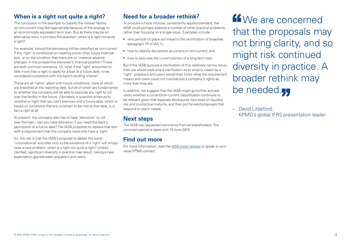#### **When is a right not quite a right?**

The conclusion in the example to classify the rollover facility as non-current may feel appropriate because of the analogy to an economically equivalent term loan. But as there may be an alternative view, it prompts the question: when is a right not quite a right?

For example, should the borrowing still be classified as non-current if the 'right' is conditional on meeting some other future financial test, or on the condition that there are no 'material adverse changes' in the prospective borrower's financial position? These are both common scenarios. Or, what if the 'right' amounted to little more than a right to apply for a loan at a future date, to be considered consistent with the bank's lending criteria?

These are all 'rights', albeit with future conditions, none of which are breached at the reporting date, but all of which are fundamental to whether the company will be able to exercise any right to roll over the facility in the future. Ultimately, a question arises as to whether a 'right' that you can't exercise until a future date, which is based on conditions that are uncertain to be met at that date, is in fact a right at all.

At present, the company also has to have 'discretion' to roll over the loan – can you have discretion if you need the bank's permission at a future date? The IASB proposes to replace that test with a requirement that the company need only have a 'right'.

So, the risk is that the IASB's proposal to delete the word 'unconditional' and refer only to the existence of a 'right' will simply raise a new problem: when is a right not quite a right? Unless clarified, significant diversity in practice may result, risking a new expectation gap between preparers and users.

#### **Need for a broader rethink?**

To produce a more intuitive, consistently applied standard, the IASB could perhaps address a number of other practical problems, rather than focusing on a single issue. Examples include:

- why periods of grace are linked to the rectification of breaches (paragraph 75 of IAS 1);
- how to classify derivatives as current or non-current; and
- how to estimate the current portion of a long-term loan.

But if the IASB pursues a clarification of this relatively narrow issue, then we would welcome a clarification as to what is meant by a 'right'; preparers and users would then know what the requirement means and users could not misinterpret a company's rights as more than they are.

In addition, we suggest that the IASB might go further and ask users whether a current/non-current classification continues to be relevant given that separate disclosures now exist on liquidity risk and contractual maturity, and then put forward proposals that respond to users' needs.

#### **Next steps**

The IASB has requested comments from all stakeholders. The comment period is open until 10 June 2015.

## **Find out more**

For more information, read the [IASB press release](http://www.ifrs.org/Alerts/PressRelease/Pages/IASB-publishes-proposals-to-clarify-the-way-liabilities-are-classified-February-2015.aspx) or speak to your usual KPMG contact.

**K**We are concerned that the proposals may not bring clarity, and so might risk continued diversity in practice. A broader rethink may be needed.yy

– David Littleford, KPMG's global IFRS presentation leader